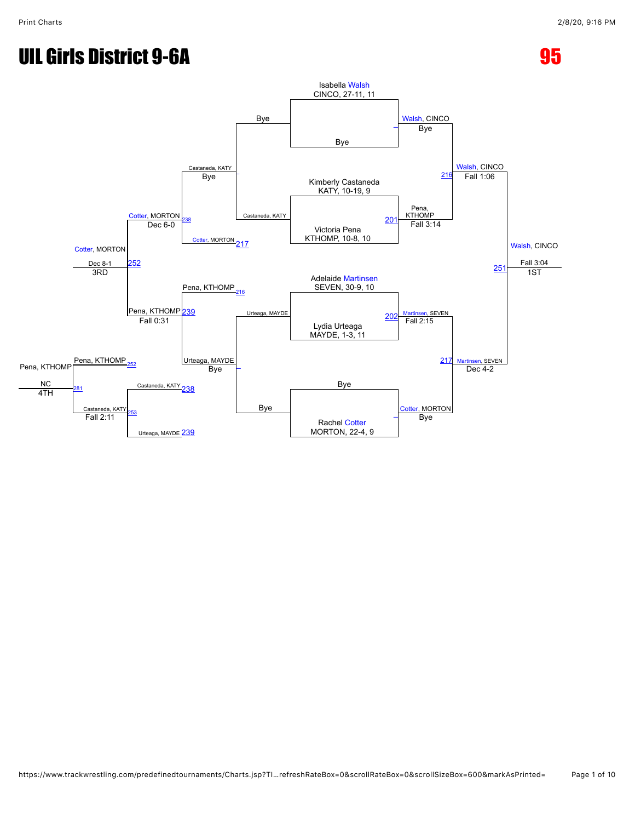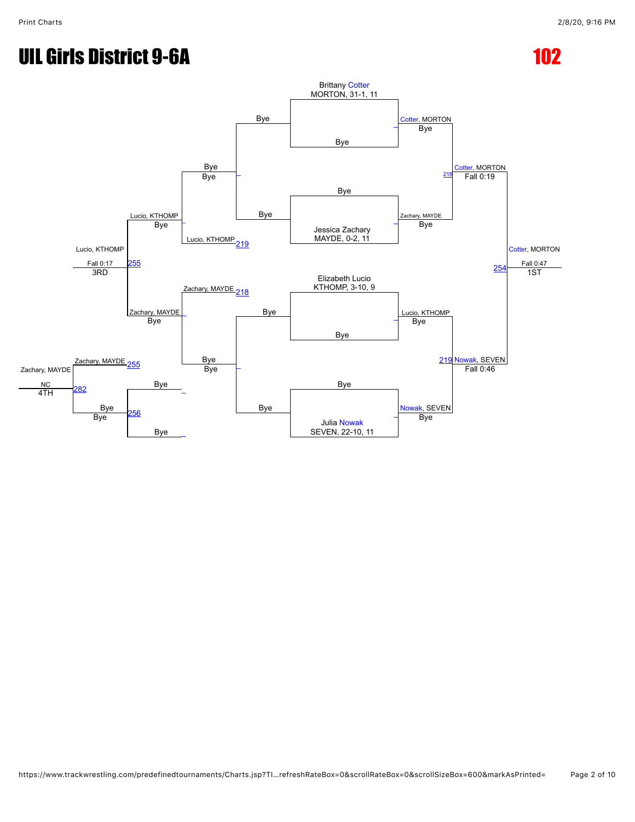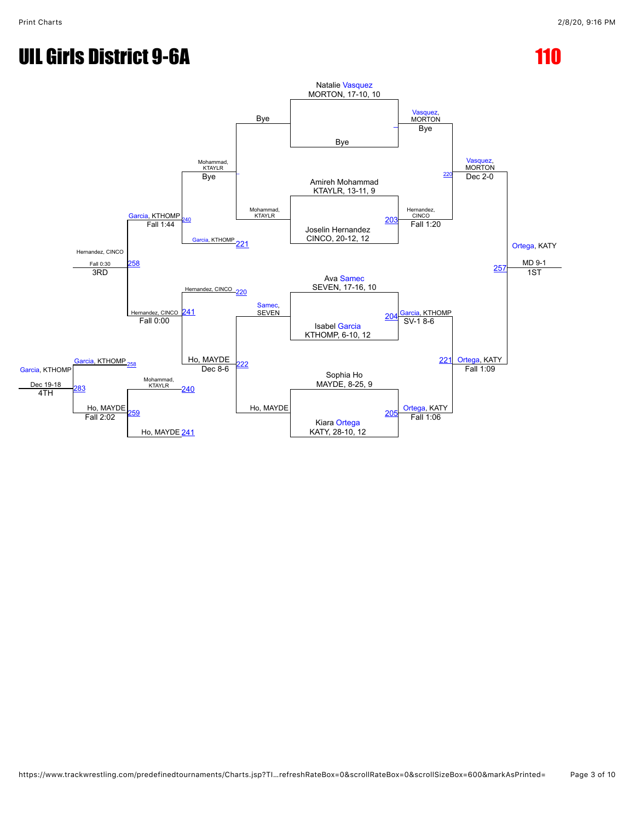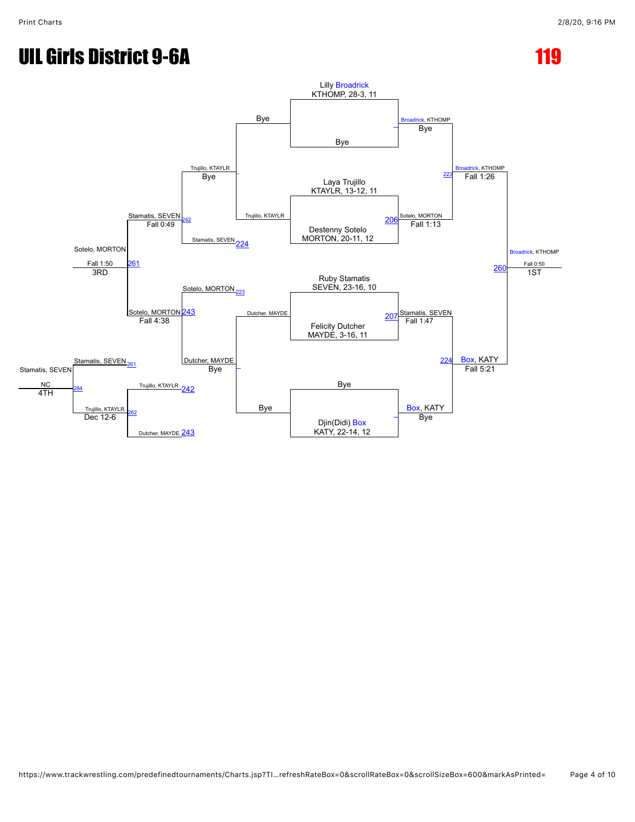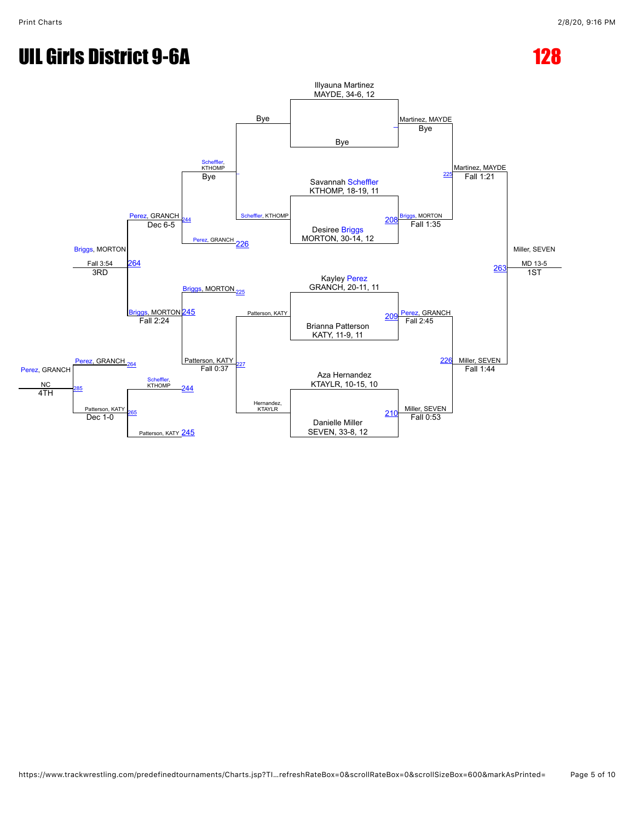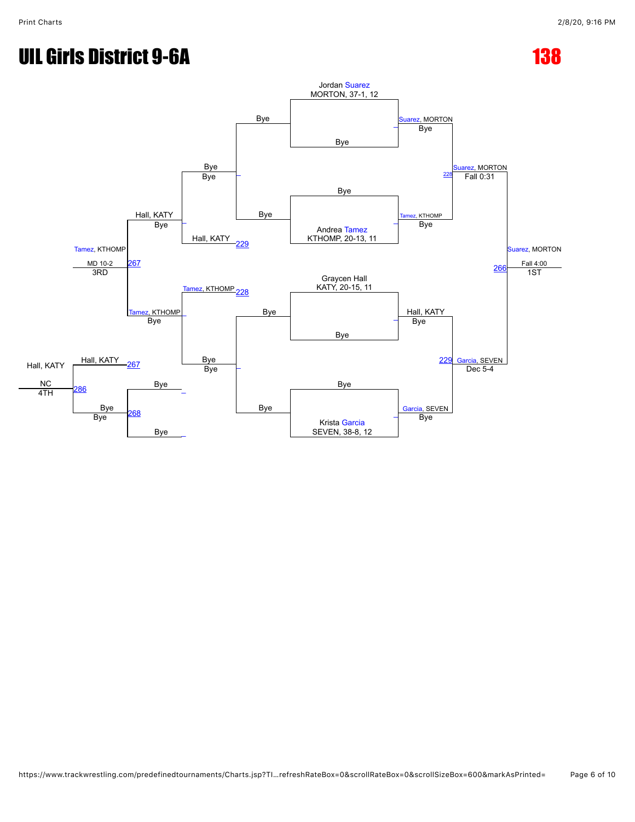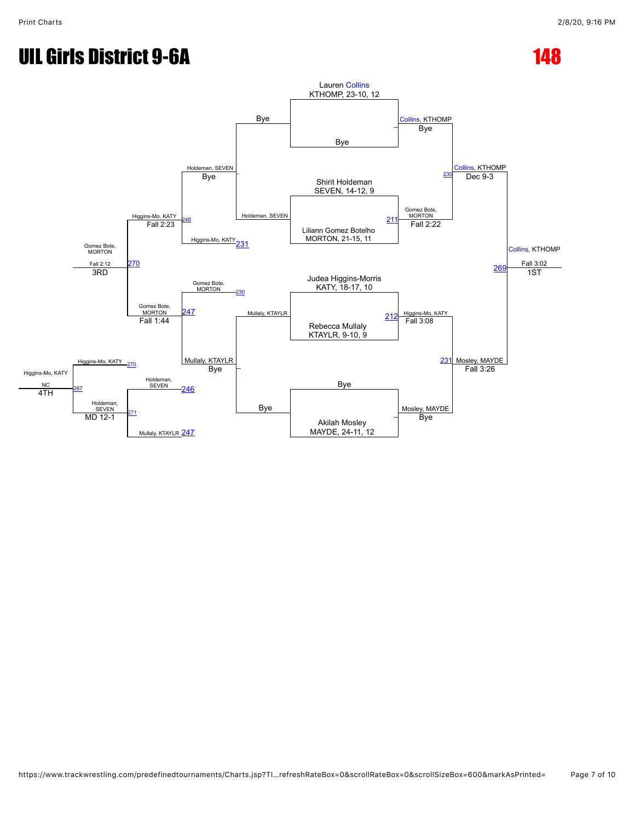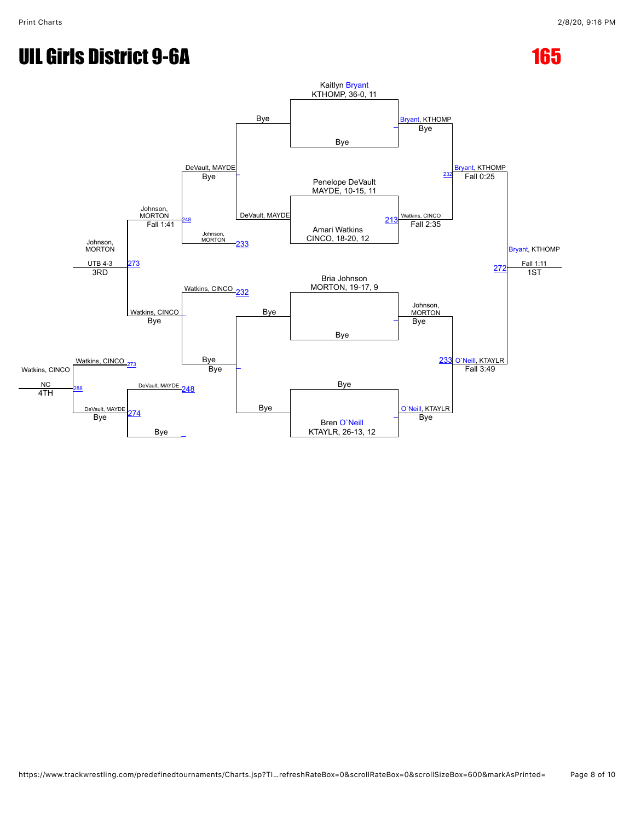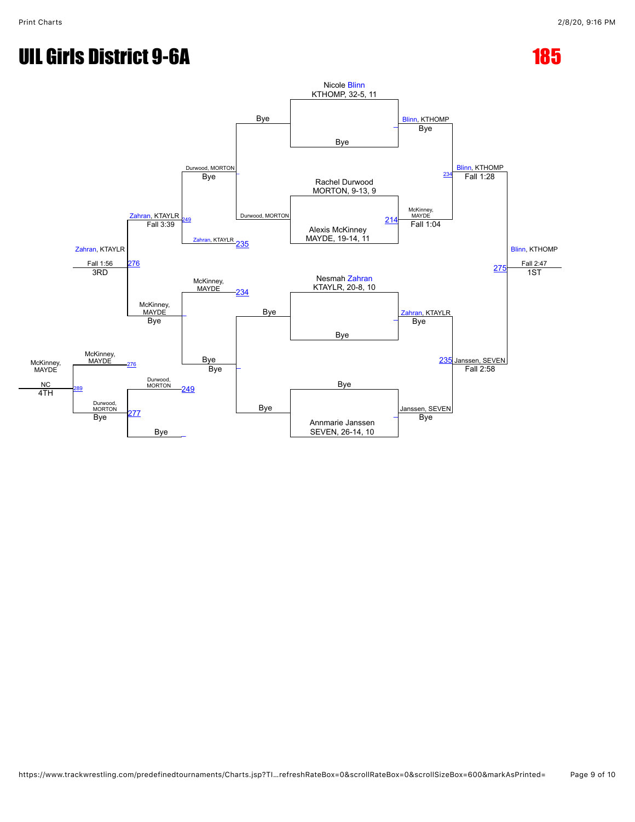